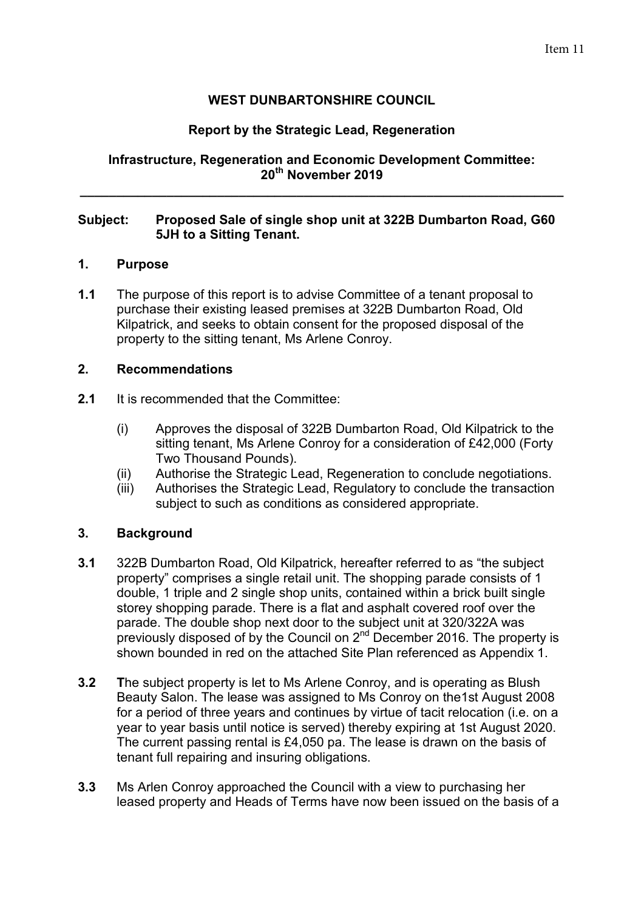# **WEST DUNBARTONSHIRE COUNCIL**

## **Report by the Strategic Lead, Regeneration**

### **Infrastructure, Regeneration and Economic Development Committee: 20th November 2019**

**\_\_\_\_\_\_\_\_\_\_\_\_\_\_\_\_\_\_\_\_\_\_\_\_\_\_\_\_\_\_\_\_\_\_\_\_\_\_\_\_\_\_\_\_\_\_\_\_\_\_\_\_\_\_\_\_\_\_\_\_\_\_\_\_\_\_\_** 

### **Subject: Proposed Sale of single shop unit at 322B Dumbarton Road, G60 5JH to a Sitting Tenant.**

#### **1. Purpose**

**1.1** The purpose of this report is to advise Committee of a tenant proposal to purchase their existing leased premises at 322B Dumbarton Road, Old Kilpatrick, and seeks to obtain consent for the proposed disposal of the property to the sitting tenant, Ms Arlene Conroy.

#### **2. Recommendations**

- **2.1** It is recommended that the Committee:
	- (i) Approves the disposal of 322B Dumbarton Road, Old Kilpatrick to the sitting tenant, Ms Arlene Conroy for a consideration of £42,000 (Forty Two Thousand Pounds).
	- (ii) Authorise the Strategic Lead, Regeneration to conclude negotiations.
	- (iii) Authorises the Strategic Lead, Regulatory to conclude the transaction subject to such as conditions as considered appropriate.

### **3. Background**

- **3.1** 322B Dumbarton Road, Old Kilpatrick, hereafter referred to as "the subject property" comprises a single retail unit. The shopping parade consists of 1 double, 1 triple and 2 single shop units, contained within a brick built single storey shopping parade. There is a flat and asphalt covered roof over the parade. The double shop next door to the subject unit at 320/322A was previously disposed of by the Council on 2<sup>nd</sup> December 2016. The property is shown bounded in red on the attached Site Plan referenced as Appendix 1.
- **3.2 T**he subject property is let to Ms Arlene Conroy, and is operating as Blush Beauty Salon. The lease was assigned to Ms Conroy on the1st August 2008 for a period of three years and continues by virtue of tacit relocation (i.e. on a year to year basis until notice is served) thereby expiring at 1st August 2020. The current passing rental is £4,050 pa. The lease is drawn on the basis of tenant full repairing and insuring obligations.
- **3.3** Ms Arlen Conroy approached the Council with a view to purchasing her leased property and Heads of Terms have now been issued on the basis of a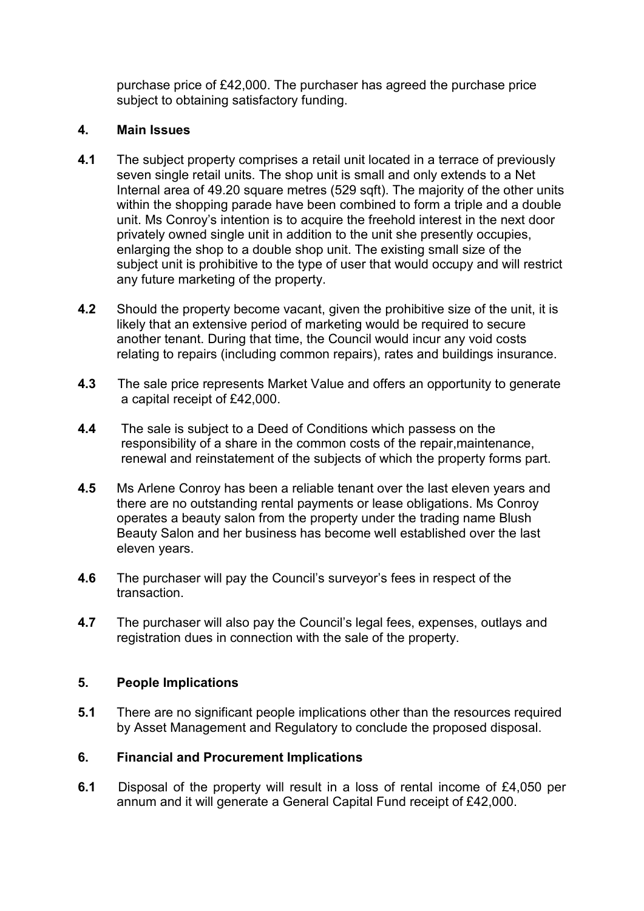purchase price of £42,000. The purchaser has agreed the purchase price subject to obtaining satisfactory funding.

# **4. Main Issues**

- **4.1** The subject property comprises a retail unit located in a terrace of previously seven single retail units. The shop unit is small and only extends to a Net Internal area of 49.20 square metres (529 sqft). The majority of the other units within the shopping parade have been combined to form a triple and a double unit. Ms Conroy's intention is to acquire the freehold interest in the next door privately owned single unit in addition to the unit she presently occupies, enlarging the shop to a double shop unit. The existing small size of the subject unit is prohibitive to the type of user that would occupy and will restrict any future marketing of the property.
- **4.2** Should the property become vacant, given the prohibitive size of the unit, it is likely that an extensive period of marketing would be required to secure another tenant. During that time, the Council would incur any void costs relating to repairs (including common repairs), rates and buildings insurance.
- **4.3** The sale price represents Market Value and offers an opportunity to generate a capital receipt of £42,000.
- **4.4** The sale is subject to a Deed of Conditions which passess on the responsibility of a share in the common costs of the repair,maintenance, renewal and reinstatement of the subjects of which the property forms part.
- **4.5** Ms Arlene Conroy has been a reliable tenant over the last eleven years and there are no outstanding rental payments or lease obligations. Ms Conroy operates a beauty salon from the property under the trading name Blush Beauty Salon and her business has become well established over the last eleven years.
- **4.6** The purchaser will pay the Council's surveyor's fees in respect of the transaction.
- **4.7** The purchaser will also pay the Council's legal fees, expenses, outlays and registration dues in connection with the sale of the property.

### **5. People Implications**

**5.1** There are no significant people implications other than the resources required by Asset Management and Regulatory to conclude the proposed disposal.

# **6. Financial and Procurement Implications**

**6.1** Disposal of the property will result in a loss of rental income of £4,050 per annum and it will generate a General Capital Fund receipt of £42,000.